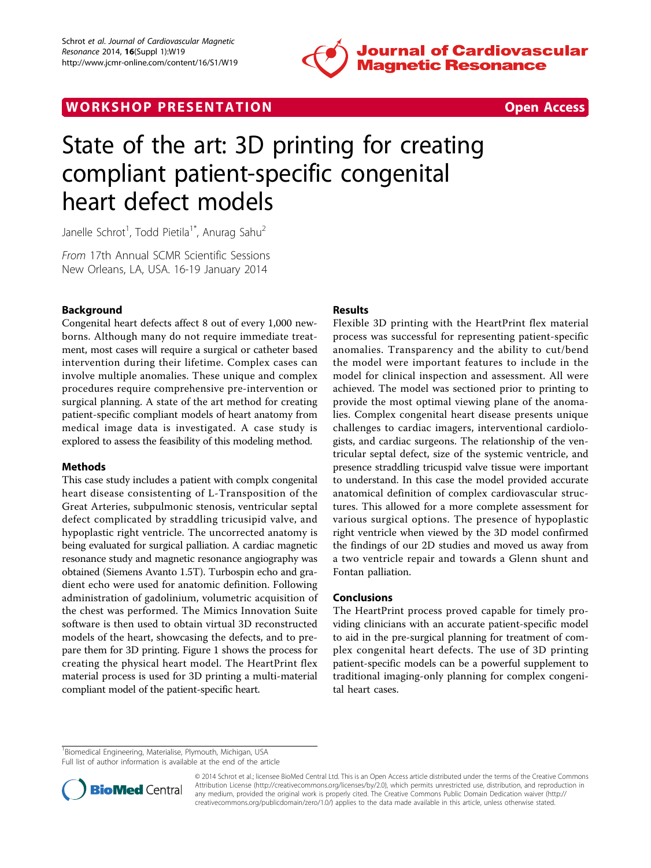

## WORK SHOP PRESENTATION AND RESENSIVE STATES Open Access



# State of the art: 3D printing for creating compliant patient-specific congenital heart defect models

Janelle Schrot<sup>1</sup>, Todd Pietila<sup>1\*</sup>, Anurag Sahu<sup>2</sup>

From 17th Annual SCMR Scientific Sessions New Orleans, LA, USA. 16-19 January 2014

## Background

Congenital heart defects affect 8 out of every 1,000 newborns. Although many do not require immediate treatment, most cases will require a surgical or catheter based intervention during their lifetime. Complex cases can involve multiple anomalies. These unique and complex procedures require comprehensive pre-intervention or surgical planning. A state of the art method for creating patient-specific compliant models of heart anatomy from medical image data is investigated. A case study is explored to assess the feasibility of this modeling method.

## **Mathods**

This case study includes a patient with complx congenital heart disease consistenting of L-Transposition of the Great Arteries, subpulmonic stenosis, ventricular septal defect complicated by straddling tricusipid valve, and hypoplastic right ventricle. The uncorrected anatomy is being evaluated for surgical palliation. A cardiac magnetic resonance study and magnetic resonance angiography was obtained (Siemens Avanto 1.5T). Turbospin echo and gradient echo were used for anatomic definition. Following administration of gadolinium, volumetric acquisition of the chest was performed. The Mimics Innovation Suite software is then used to obtain virtual 3D reconstructed models of the heart, showcasing the defects, and to prepare them for 3D printing. Figure [1](#page-1-0) shows the process for creating the physical heart model. The HeartPrint flex material process is used for 3D printing a multi-material compliant model of the patient-specific heart.

## Results

Flexible 3D printing with the HeartPrint flex material process was successful for representing patient-specific anomalies. Transparency and the ability to cut/bend the model were important features to include in the model for clinical inspection and assessment. All were achieved. The model was sectioned prior to printing to provide the most optimal viewing plane of the anomalies. Complex congenital heart disease presents unique challenges to cardiac imagers, interventional cardiologists, and cardiac surgeons. The relationship of the ventricular septal defect, size of the systemic ventricle, and presence straddling tricuspid valve tissue were important to understand. In this case the model provided accurate anatomical definition of complex cardiovascular structures. This allowed for a more complete assessment for various surgical options. The presence of hypoplastic right ventricle when viewed by the 3D model confirmed the findings of our 2D studies and moved us away from a two ventricle repair and towards a Glenn shunt and Fontan palliation.

## Conclusions

The HeartPrint process proved capable for timely providing clinicians with an accurate patient-specific model to aid in the pre-surgical planning for treatment of complex congenital heart defects. The use of 3D printing patient-specific models can be a powerful supplement to traditional imaging-only planning for complex congenital heart cases.

<sup>&</sup>lt;sup>1</sup> Biomedical Engineering, Materialise, Plymouth, Michigan, USA Full list of author information is available at the end of the article



© 2014 Schrot et al.; licensee BioMed Central Ltd. This is an Open Access article distributed under the terms of the Creative Commons Attribution License [\(http://creativecommons.org/licenses/by/2.0](http://creativecommons.org/licenses/by/2.0)), which permits unrestricted use, distribution, and reproduction in any medium, provided the original work is properly cited. The Creative Commons Public Domain Dedication waiver [\(http://](http://creativecommons.org/publicdomain/zero/1.0/) [creativecommons.org/publicdomain/zero/1.0/](http://creativecommons.org/publicdomain/zero/1.0/)) applies to the data made available in this article, unless otherwise stated.